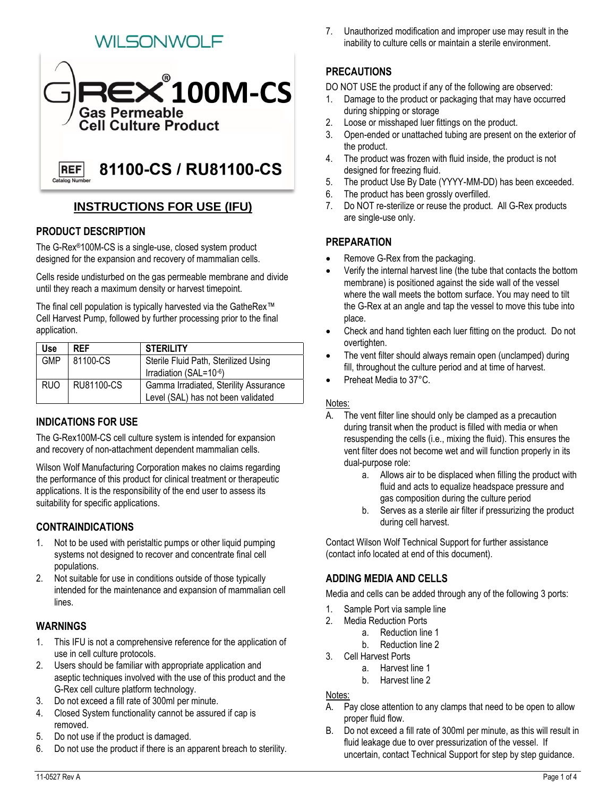# WILSONWOLF



## **INSTRUCTIONS FOR USE (IFU)**

## **PRODUCT DESCRIPTION**

The G-Rex®100M-CS is a single-use, closed system product designed for the expansion and recovery of mammalian cells.

Cells reside undisturbed on the gas permeable membrane and divide until they reach a maximum density or harvest timepoint.

The final cell population is typically harvested via the GatheRex™ Cell Harvest Pump, followed by further processing prior to the final application.

| Use        | <b>RFF</b> | <b>STERILITY</b>                      |
|------------|------------|---------------------------------------|
| <b>GMP</b> | 81100-CS   | Sterile Fluid Path, Sterilized Using  |
|            |            | Irradiation (SAL=10-6)                |
| <b>RUO</b> | RU81100-CS | Gamma Irradiated, Sterility Assurance |
|            |            | Level (SAL) has not been validated    |

## **INDICATIONS FOR USE**

The G-Rex100M-CS cell culture system is intended for expansion and recovery of non-attachment dependent mammalian cells.

Wilson Wolf Manufacturing Corporation makes no claims regarding the performance of this product for clinical treatment or therapeutic applications. It is the responsibility of the end user to assess its suitability for specific applications.

## **CONTRAINDICATIONS**

- 1. Not to be used with peristaltic pumps or other liquid pumping systems not designed to recover and concentrate final cell populations.
- 2. Not suitable for use in conditions outside of those typically intended for the maintenance and expansion of mammalian cell lines.

#### **WARNINGS**

- 1. This IFU is not a comprehensive reference for the application of use in cell culture protocols.
- 2. Users should be familiar with appropriate application and aseptic techniques involved with the use of this product and the G-Rex cell culture platform technology.
- 3. Do not exceed a fill rate of 300ml per minute.
- 4. Closed System functionality cannot be assured if cap is removed.
- 5. Do not use if the product is damaged.
- 6. Do not use the product if there is an apparent breach to sterility.

7. Unauthorized modification and improper use may result in the inability to culture cells or maintain a sterile environment.

## **PRECAUTIONS**

DO NOT USE the product if any of the following are observed:

- 1. Damage to the product or packaging that may have occurred during shipping or storage
- 2. Loose or misshaped luer fittings on the product.
- 3. Open-ended or unattached tubing are present on the exterior of the product.
- 4. The product was frozen with fluid inside, the product is not designed for freezing fluid.
- 5. The product Use By Date (YYYY-MM-DD) has been exceeded.
- 6. The product has been grossly overfilled.
- 7. Do NOT re-sterilize or reuse the product. All G-Rex products are single-use only.

#### **PREPARATION**

- Remove G-Rex from the packaging.
- Verify the internal harvest line (the tube that contacts the bottom membrane) is positioned against the side wall of the vessel where the wall meets the bottom surface. You may need to tilt the G-Rex at an angle and tap the vessel to move this tube into place.
- Check and hand tighten each luer fitting on the product. Do not overtighten.
- The vent filter should always remain open (unclamped) during fill, throughout the culture period and at time of harvest.
- Preheat Media to 37°C.

#### Notes:

- A. The vent filter line should only be clamped as a precaution during transit when the product is filled with media or when resuspending the cells (i.e., mixing the fluid). This ensures the vent filter does not become wet and will function properly in its dual-purpose role:
	- a. Allows air to be displaced when filling the product with fluid and acts to equalize headspace pressure and gas composition during the culture period
	- b. Serves as a sterile air filter if pressurizing the product during cell harvest.

Contact Wilson Wolf Technical Support for further assistance (contact info located at end of this document).

## **ADDING MEDIA AND CELLS**

Media and cells can be added through any of the following 3 ports:

- 1. Sample Port via sample line
- 2. Media Reduction Ports
	- a. Reduction line 1
	- b. Reduction line 2
- 3. Cell Harvest Ports
	- a. Harvest line 1
	- b. Harvest line 2

#### Notes:

- A. Pay close attention to any clamps that need to be open to allow proper fluid flow.
- B. Do not exceed a fill rate of 300ml per minute, as this will result in fluid leakage due to over pressurization of the vessel. If uncertain, contact Technical Support for step by step guidance.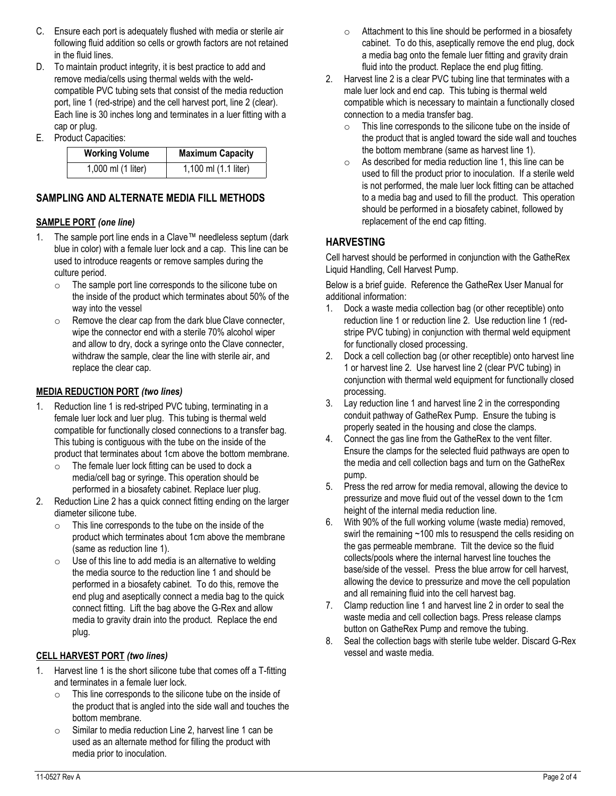- C. Ensure each port is adequately flushed with media or sterile air following fluid addition so cells or growth factors are not retained in the fluid lines.
- D. To maintain product integrity, it is best practice to add and remove media/cells using thermal welds with the weldcompatible PVC tubing sets that consist of the media reduction port, line 1 (red-stripe) and the cell harvest port, line 2 (clear). Each line is 30 inches long and terminates in a luer fitting with a cap or plug.
- E. Product Capacities:

| <b>Working Volume</b> | <b>Maximum Capacity</b> |
|-----------------------|-------------------------|
| 1,000 ml (1 liter)    | 1,100 ml (1.1 liter)    |

## **SAMPLING AND ALTERNATE MEDIA FILL METHODS**

#### **SAMPLE PORT** *(one line)*

- 1. The sample port line ends in a Clave™ needleless septum (dark blue in color) with a female luer lock and a cap. This line can be used to introduce reagents or remove samples during the culture period.
	- o The sample port line corresponds to the silicone tube on the inside of the product which terminates about 50% of the way into the vessel
	- o Remove the clear cap from the dark blue Clave connecter, wipe the connector end with a sterile 70% alcohol wiper and allow to dry, dock a syringe onto the Clave connecter, withdraw the sample, clear the line with sterile air, and replace the clear cap.

#### **MEDIA REDUCTION PORT** *(two lines)*

- 1. Reduction line 1 is red-striped PVC tubing, terminating in a female luer lock and luer plug. This tubing is thermal weld compatible for functionally closed connections to a transfer bag. This tubing is contiguous with the tube on the inside of the product that terminates about 1cm above the bottom membrane.
	- o The female luer lock fitting can be used to dock a media/cell bag or syringe. This operation should be performed in a biosafety cabinet. Replace luer plug.
- 2. Reduction Line 2 has a quick connect fitting ending on the larger diameter silicone tube.
	- o This line corresponds to the tube on the inside of the product which terminates about 1cm above the membrane (same as reduction line 1).
	- $\circ$  Use of this line to add media is an alternative to welding the media source to the reduction line 1 and should be performed in a biosafety cabinet. To do this, remove the end plug and aseptically connect a media bag to the quick connect fitting. Lift the bag above the G-Rex and allow media to gravity drain into the product. Replace the end plug.

#### **CELL HARVEST PORT** *(two lines)*

- 1. Harvest line 1 is the short silicone tube that comes off a T-fitting and terminates in a female luer lock.
	- o This line corresponds to the silicone tube on the inside of the product that is angled into the side wall and touches the bottom membrane.
	- o Similar to media reduction Line 2, harvest line 1 can be used as an alternate method for filling the product with media prior to inoculation.
- $\circ$  Attachment to this line should be performed in a biosafety cabinet. To do this, aseptically remove the end plug, dock a media bag onto the female luer fitting and gravity drain fluid into the product. Replace the end plug fitting.
- 2. Harvest line 2 is a clear PVC tubing line that terminates with a male luer lock and end cap. This tubing is thermal weld compatible which is necessary to maintain a functionally closed connection to a media transfer bag.
	- o This line corresponds to the silicone tube on the inside of the product that is angled toward the side wall and touches the bottom membrane (same as harvest line 1).
	- o As described for media reduction line 1, this line can be used to fill the product prior to inoculation. If a sterile weld is not performed, the male luer lock fitting can be attached to a media bag and used to fill the product. This operation should be performed in a biosafety cabinet, followed by replacement of the end cap fitting.

#### **HARVESTING**

Cell harvest should be performed in conjunction with the GatheRex Liquid Handling, Cell Harvest Pump.

Below is a brief guide. Reference the GatheRex User Manual for additional information:

- 1. Dock a waste media collection bag (or other receptible) onto reduction line 1 or reduction line 2. Use reduction line 1 (redstripe PVC tubing) in conjunction with thermal weld equipment for functionally closed processing.
- 2. Dock a cell collection bag (or other receptible) onto harvest line 1 or harvest line 2. Use harvest line 2 (clear PVC tubing) in conjunction with thermal weld equipment for functionally closed processing.
- 3. Lay reduction line 1 and harvest line 2 in the corresponding conduit pathway of GatheRex Pump. Ensure the tubing is properly seated in the housing and close the clamps.
- 4. Connect the gas line from the GatheRex to the vent filter. Ensure the clamps for the selected fluid pathways are open to the media and cell collection bags and turn on the GatheRex pump.
- 5. Press the red arrow for media removal, allowing the device to pressurize and move fluid out of the vessel down to the 1cm height of the internal media reduction line.
- 6. With 90% of the full working volume (waste media) removed, swirl the remaining ~100 mls to resuspend the cells residing on the gas permeable membrane. Tilt the device so the fluid collects/pools where the internal harvest line touches the base/side of the vessel. Press the blue arrow for cell harvest, allowing the device to pressurize and move the cell population and all remaining fluid into the cell harvest bag.
- 7. Clamp reduction line 1 and harvest line 2 in order to seal the waste media and cell collection bags. Press release clamps button on GatheRex Pump and remove the tubing.
- 8. Seal the collection bags with sterile tube welder. Discard G-Rex vessel and waste media.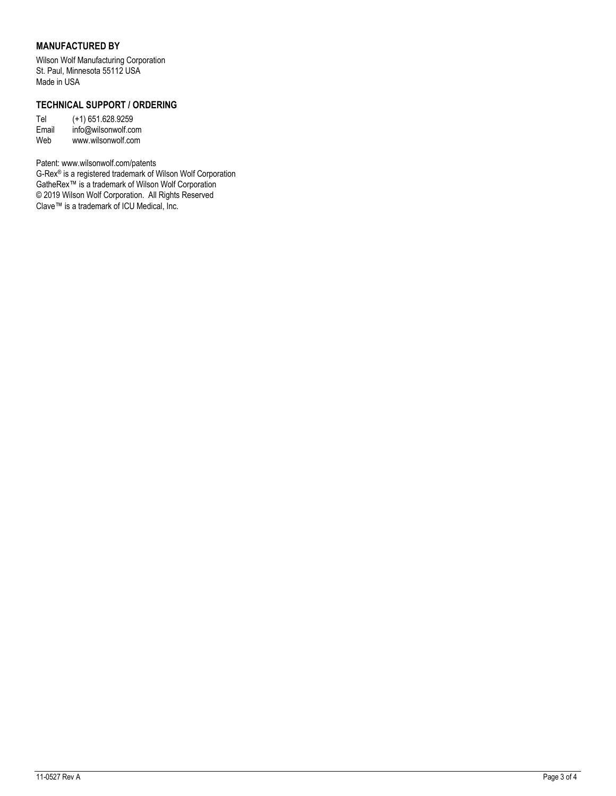#### **MANUFACTURED BY**

Wilson Wolf Manufacturing Corporation St. Paul, Minnesota 55112 USA Made in USA

#### **TECHNICAL SUPPORT / ORDERING**

Tel (+1) 651.628.9259 Email info@wilsonwolf.com Web www.wilsonwolf.com

Patent: www.wilsonwolf.com/patents

G-Rex® is a registered trademark of Wilson Wolf Corporation GatheRex™ is a trademark of Wilson Wolf Corporation © 2019 Wilson Wolf Corporation. All Rights Reserved Clave™ is a trademark of ICU Medical, Inc.